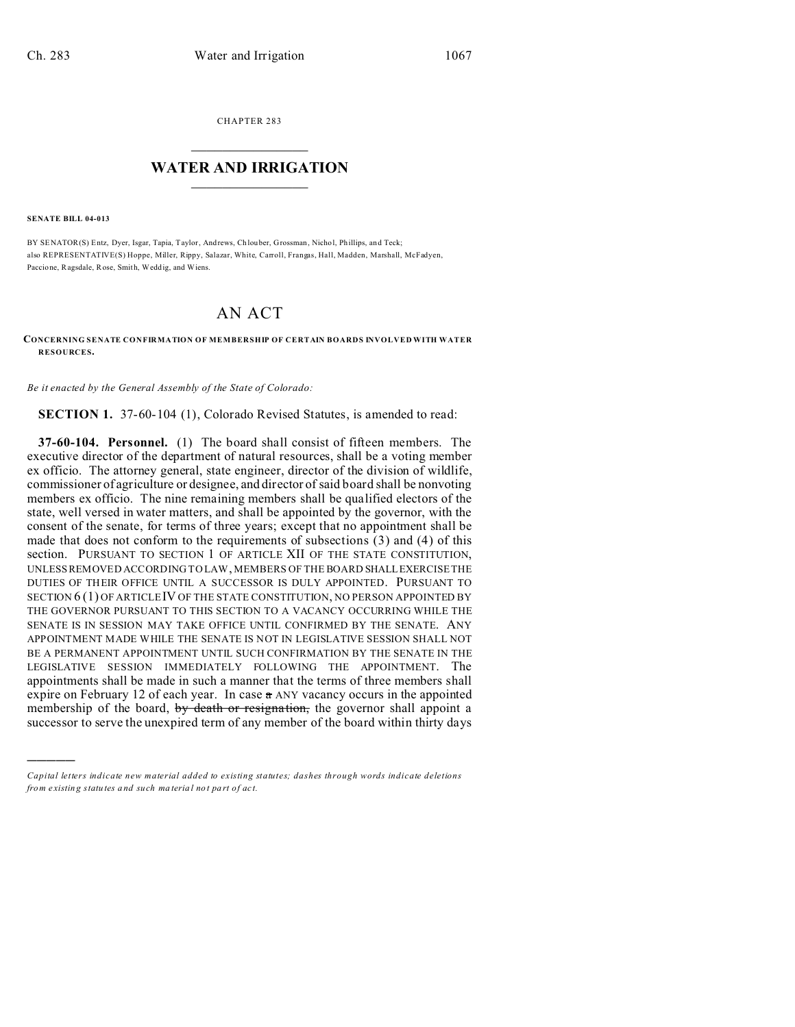CHAPTER 283  $\overline{\phantom{a}}$  , where  $\overline{\phantom{a}}$ 

## **WATER AND IRRIGATION**  $\_$   $\_$   $\_$   $\_$   $\_$   $\_$   $\_$   $\_$   $\_$

**SENATE BILL 04-013**

)))))

BY SENATOR(S) Entz, Dyer, Isgar, Tapia, Taylor, And rews, Ch louber, Grossman, Nicho l, Phillips, and Teck; also REPRESENTATIVE(S) Hoppe, Miller, Rippy, Salazar, White, Carroll, Frangas, Hall, Madden, Marshall, McFadyen, Paccione, Ragsdale, Rose, Smith, Weddig, and Wiens.

## AN ACT

**CONCERNING SENATE CONFIRMATION OF MEMBERSHIP OF CERTAIN BOARDS INVOLVED WITH WATER RESOURCES.**

*Be it enacted by the General Assembly of the State of Colorado:*

**SECTION 1.** 37-60-104 (1), Colorado Revised Statutes, is amended to read:

**37-60-104. Personnel.** (1) The board shall consist of fifteen members. The executive director of the department of natural resources, shall be a voting member ex officio. The attorney general, state engineer, director of the division of wildlife, commissioner of agriculture or designee, and director of said board shall be nonvoting members ex officio. The nine remaining members shall be qualified electors of the state, well versed in water matters, and shall be appointed by the governor, with the consent of the senate, for terms of three years; except that no appointment shall be made that does not conform to the requirements of subsections (3) and (4) of this section. PURSUANT TO SECTION 1 OF ARTICLE XII OF THE STATE CONSTITUTION, UNLESS REMOVED ACCORDING TO LAW, MEMBERS OF THE BOARD SHALLEXERCISE THE DUTIES OF THEIR OFFICE UNTIL A SUCCESSOR IS DULY APPOINTED. PURSUANT TO SECTION 6 (1) OF ARTICLE IV OF THE STATE CONSTITUTION, NO PERSON APPOINTED BY THE GOVERNOR PURSUANT TO THIS SECTION TO A VACANCY OCCURRING WHILE THE SENATE IS IN SESSION MAY TAKE OFFICE UNTIL CONFIRMED BY THE SENATE. ANY APPOINTMENT MADE WHILE THE SENATE IS NOT IN LEGISLATIVE SESSION SHALL NOT BE A PERMANENT APPOINTMENT UNTIL SUCH CONFIRMATION BY THE SENATE IN THE LEGISLATIVE SESSION IMMEDIATELY FOLLOWING THE APPOINTMENT. The appointments shall be made in such a manner that the terms of three members shall expire on February 12 of each year. In case  $\alpha$  ANY vacancy occurs in the appointed membership of the board, by death or resignation, the governor shall appoint a successor to serve the unexpired term of any member of the board within thirty days

*Capital letters indicate new material added to existing statutes; dashes through words indicate deletions from e xistin g statu tes a nd such ma teria l no t pa rt of ac t.*